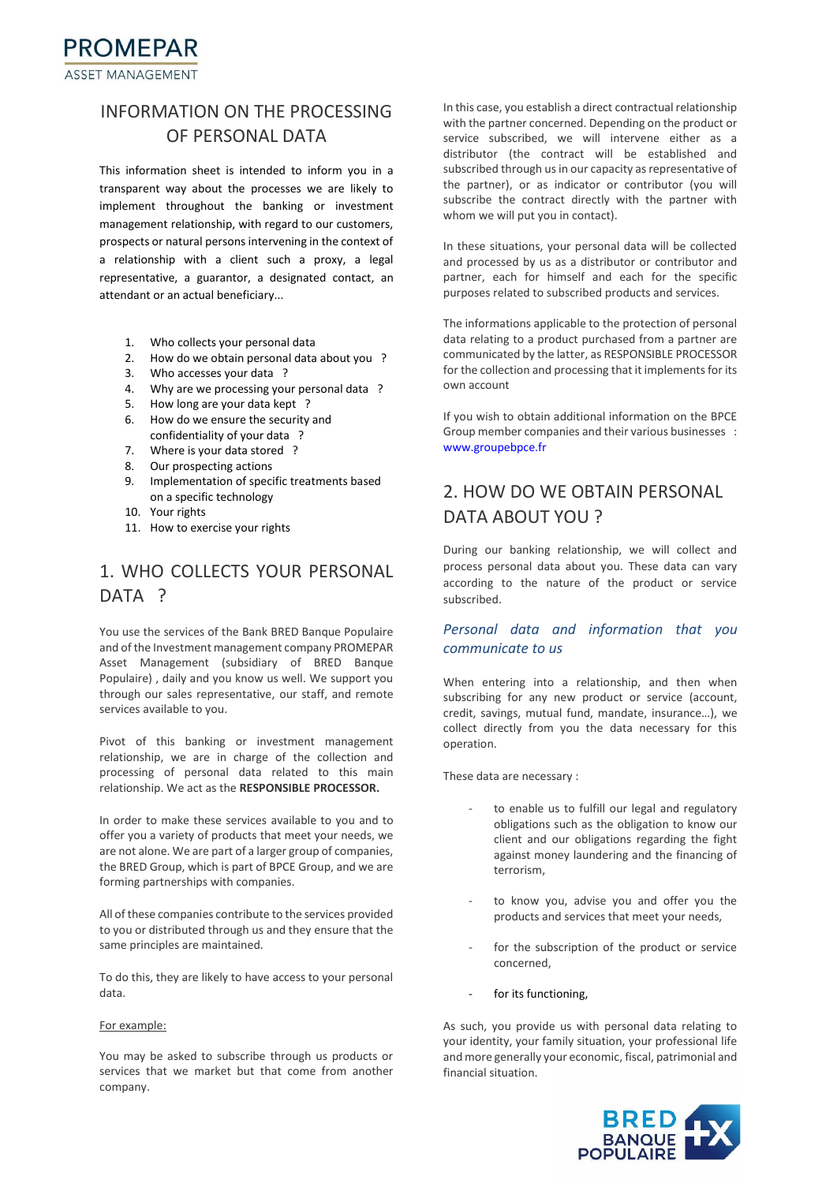## INFORMATION ON THE PROCESSING OF PERSONAL DATA

This information sheet is intended to inform you in a transparent way about the processes we are likely to implement throughout the banking or investment management relationship, with regard to our customers, prospects or natural persons intervening in the context of a relationship with a client such a proxy, a legal representative, a guarantor, a designated contact, an attendant or an actual beneficiary...

- 1. Who collects your personal data
- 2. How do we obtain personal data about you ?
- 3. Who accesses your data ?
- 4. Why are we processing your personal data ?
- 5. How long are your data kept ?
- 6. How do we ensure the security and confidentiality of your data ?
- 7. Where is your data stored ?
- 8. Our prospecting actions
- 9. Implementation of specific treatments based on a specific technology
- 10. Your rights
- 11. How to exercise your rights

# 1. WHO COLLECTS YOUR PERSONAL DATA ?

You use the services of the Bank BRED Banque Populaire and of the Investment management company PROMEPAR Asset Management (subsidiary of BRED Banque Populaire) , daily and you know us well. We support you through our sales representative, our staff, and remote services available to you.

Pivot of this banking or investment management relationship, we are in charge of the collection and processing of personal data related to this main relationship. We act as the **RESPONSIBLE PROCESSOR.**

In order to make these services available to you and to offer you a variety of products that meet your needs, we are not alone. We are part of a larger group of companies, the BRED Group, which is part of BPCE Group, and we are forming partnerships with companies.

All of these companies contribute to the services provided to you or distributed through us and they ensure that the same principles are maintained.

To do this, they are likely to have access to your personal data.

### For example:

You may be asked to subscribe through us products or services that we market but that come from another company.

In this case, you establish a direct contractual relationship with the partner concerned. Depending on the product or service subscribed, we will intervene either as a distributor (the contract will be established and subscribed through us in our capacity as representative of the partner), or as indicator or contributor (you will subscribe the contract directly with the partner with whom we will put you in contact).

In these situations, your personal data will be collected and processed by us as a distributor or contributor and partner, each for himself and each for the specific purposes related to subscribed products and services.

The informations applicable to the protection of personal data relating to a product purchased from a partner are communicated by the latter, as RESPONSIBLE PROCESSOR for the collection and processing that it implements for its own account

If you wish to obtain additional information on the BPCE Group member companies and their various businesses : [www.groupebpce.fr](https://translate.google.com/translate?hl=fr&prev=_t&sl=fr&tl=en&u=http://www.groupebpce.fr)

# 2. HOW DO WE OBTAIN PERSONAL DATA ABOUT YOU ?

During our banking relationship, we will collect and process personal data about you. These data can vary according to the nature of the product or service subscribed.

## *Personal data and information that you communicate to us*

When entering into a relationship, and then when subscribing for any new product or service (account, credit, savings, mutual fund, mandate, insurance…), we collect directly from you the data necessary for this operation.

These data are necessary :

- to enable us to fulfill our legal and regulatory obligations such as the obligation to know our client and our obligations regarding the fight against money laundering and the financing of terrorism,
- to know you, advise you and offer you the products and services that meet your needs,
- for the subscription of the product or service concerned,
- for its functioning.

As such, you provide us with personal data relating to your identity, your family situation, your professional life and more generally your economic, fiscal, patrimonial and financial situation.

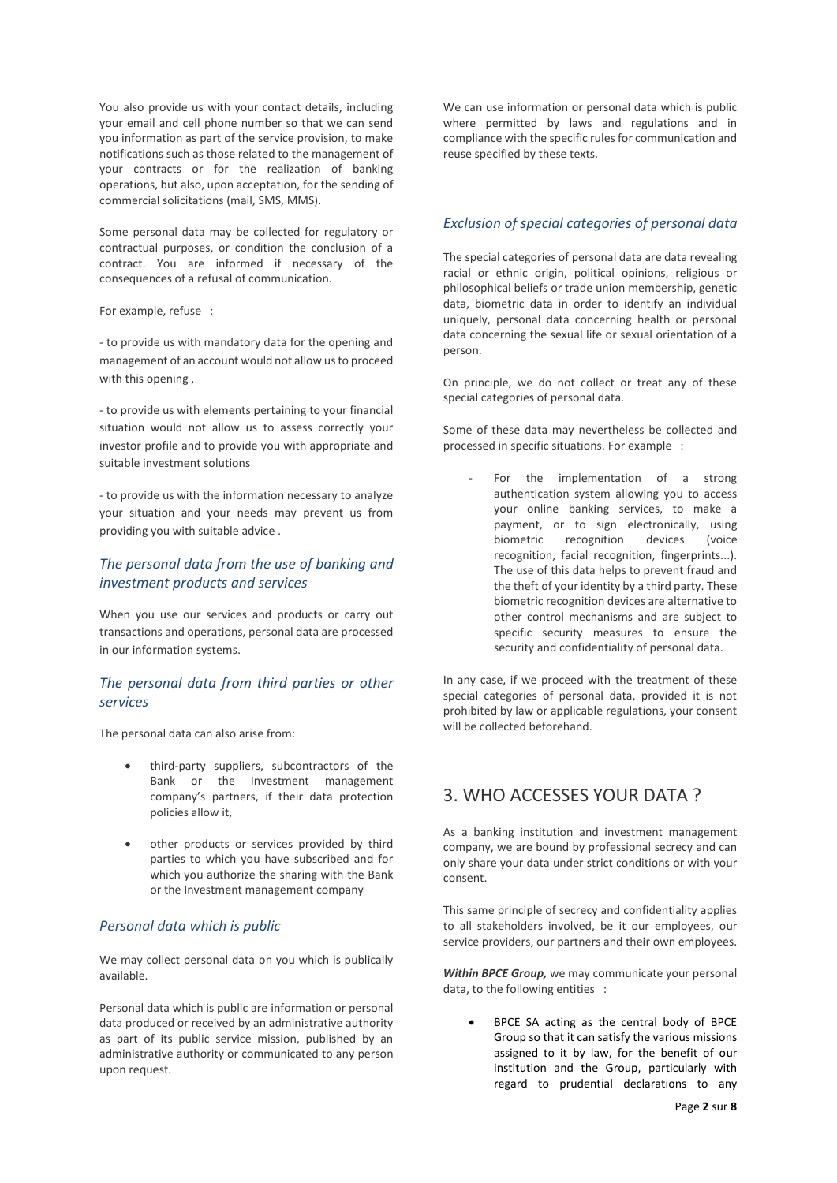You also provide us with your contact details, including your email and cell phone number so that we can send you information as part of the service provision, to make notifications such as those related to the management of your contracts or for the realization of banking operations, but also, upon acceptation, for the sending of commercial solicitations (mail, SMS, MMS).

Some personal data may be collected for regulatory or contractual purposes, or condition the conclusion of a contract. You are informed if necessary of the consequences of a refusal of communication.

For example, refuse :

- to provide us with mandatory data for the opening and management of an account would not allow us to proceed with this opening,

- to provide us with elements pertaining to your financial situation would not allow us to assess correctly your investor profile and to provide you with appropriate and suitable investment solutions

- to provide us with the information necessary to analyze your situation and your needs may prevent us from providing you with suitable advice .

## *The personal data from the use of banking and investment products and services*

When you use our services and products or carry out transactions and operations, personal data are processed in our information systems.

## *The personal data from third parties or other services*

The personal data can also arise from:

- third-party suppliers, subcontractors of the Bank or the Investment management company's partners, if their data protection policies allow it,
- other products or services provided by third parties to which you have subscribed and for which you authorize the sharing with the Bank or the Investment management company

### *Personal data which is public*

We may collect personal data on you which is publically available.

Personal data which is public are information or personal data produced or received by an administrative authority as part of its public service mission, published by an administrative authority or communicated to any person upon request.

We can use information or personal data which is public where permitted by laws and regulations and in compliance with the specific rules for communication and reuse specified by these texts.

## *Exclusion of special categories of personal data*

The special categories of personal data are data revealing racial or ethnic origin, political opinions, religious or philosophical beliefs or trade union membership, genetic data, biometric data in order to identify an individual uniquely, personal data concerning health or personal data concerning the sexual life or sexual orientation of a person.

On principle, we do not collect or treat any of these special categories of personal data.

Some of these data may nevertheless be collected and processed in specific situations. For example :

For the implementation of a strong authentication system allowing you to access your online banking services, to make a payment, or to sign electronically, using biometric recognition devices (voice recognition, facial recognition, fingerprints...). The use of this data helps to prevent fraud and the theft of your identity by a third party. These biometric recognition devices are alternative to other control mechanisms and are subject to specific security measures to ensure the security and confidentiality of personal data.

In any case, if we proceed with the treatment of these special categories of personal data, provided it is not prohibited by law or applicable regulations, your consent will be collected beforehand.

## 3. WHO ACCESSES YOUR DATA ?

As a banking institution and investment management company, we are bound by professional secrecy and can only share your data under strict conditions or with your consent.

This same principle of secrecy and confidentiality applies to all stakeholders involved, be it our employees, our service providers, our partners and their own employees.

*Within BPCE Group,* we may communicate your personal data, to the following entities :

• BPCE SA acting as the central body of BPCE Group so that it can satisfy the various missions assigned to it by law, for the benefit of our institution and the Group, particularly with regard to prudential declarations to any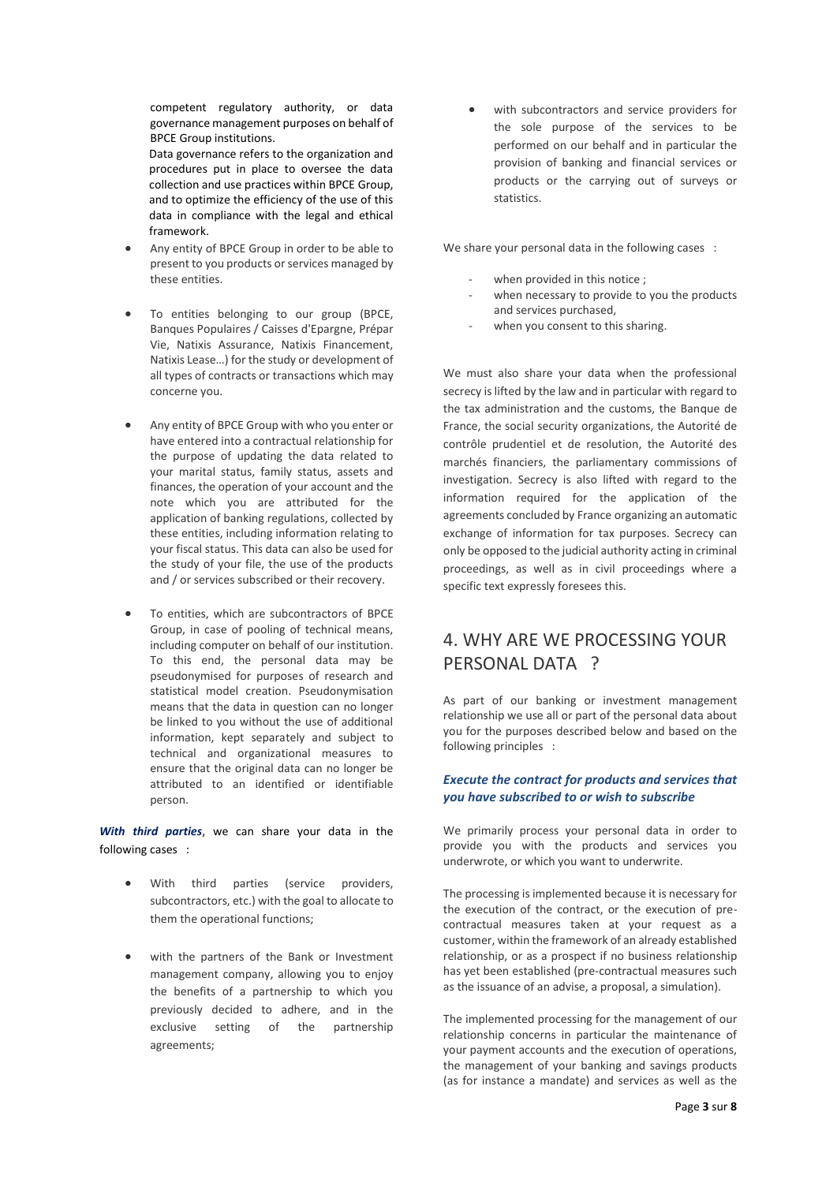competent regulatory authority, or data governance management purposes on behalf of BPCE Group institutions.

Data governance refers to the organization and procedures put in place to oversee the data collection and use practices within BPCE Group, and to optimize the efficiency of the use of this data in compliance with the legal and ethical framework.

- Any entity of BPCE Group in order to be able to present to you products or services managed by these entities.
- To entities belonging to our group (BPCE, Banques Populaires / Caisses d'Epargne, Prépar Vie, Natixis Assurance, Natixis Financement, Natixis Lease…) for the study or development of all types of contracts or transactions which may concerne you.
- Any entity of BPCE Group with who you enter or have entered into a contractual relationship for the purpose of updating the data related to your marital status, family status, assets and finances, the operation of your account and the note which you are attributed for the application of banking regulations, collected by these entities, including information relating to your fiscal status. This data can also be used for the study of your file, the use of the products and / or services subscribed or their recovery.
- To entities, which are subcontractors of BPCE Group, in case of pooling of technical means, including computer on behalf of our institution. To this end, the personal data may be pseudonymised for purposes of research and statistical model creation. Pseudonymisation means that the data in question can no longer be linked to you without the use of additional information, kept separately and subject to technical and organizational measures to ensure that the original data can no longer be attributed to an identified or identifiable person.

*With third parties*, we can share your data in the following cases :

- With third parties (service providers, subcontractors, etc.) with the goal to allocate to them the operational functions;
- with the partners of the Bank or Investment management company, allowing you to enjoy the benefits of a partnership to which you previously decided to adhere, and in the exclusive setting of the partnership agreements;

with subcontractors and service providers for the sole purpose of the services to be performed on our behalf and in particular the provision of banking and financial services or products or the carrying out of surveys or statistics.

We share your personal data in the following cases :

- when provided in this notice :
- when necessary to provide to you the products and services purchased,
- when you consent to this sharing.

We must also share your data when the professional secrecy is lifted by the law and in particular with regard to the tax administration and the customs, the Banque de France, the social security organizations, the Autorité de contrôle prudentiel et de resolution, the Autorité des marchés financiers, the parliamentary commissions of investigation. Secrecy is also lifted with regard to the information required for the application of the agreements concluded by France organizing an automatic exchange of information for tax purposes. Secrecy can only be opposed to the judicial authority acting in criminal proceedings, as well as in civil proceedings where a specific text expressly foresees this.

# 4. WHY ARE WE PROCESSING YOUR PERSONAL DATA ?

As part of our banking or investment management relationship we use all or part of the personal data about you for the purposes described below and based on the following principles :

### *Execute the contract for products and services that you have subscribed to or wish to subscribe*

We primarily process your personal data in order to provide you with the products and services you underwrote, or which you want to underwrite.

The processing is implemented because it is necessary for the execution of the contract, or the execution of precontractual measures taken at your request as a customer, within the framework of an already established relationship, or as a prospect if no business relationship has yet been established (pre-contractual measures such as the issuance of an advise, a proposal, a simulation).

The implemented processing for the management of our relationship concerns in particular the maintenance of your payment accounts and the execution of operations, the management of your banking and savings products (as for instance a mandate) and services as well as the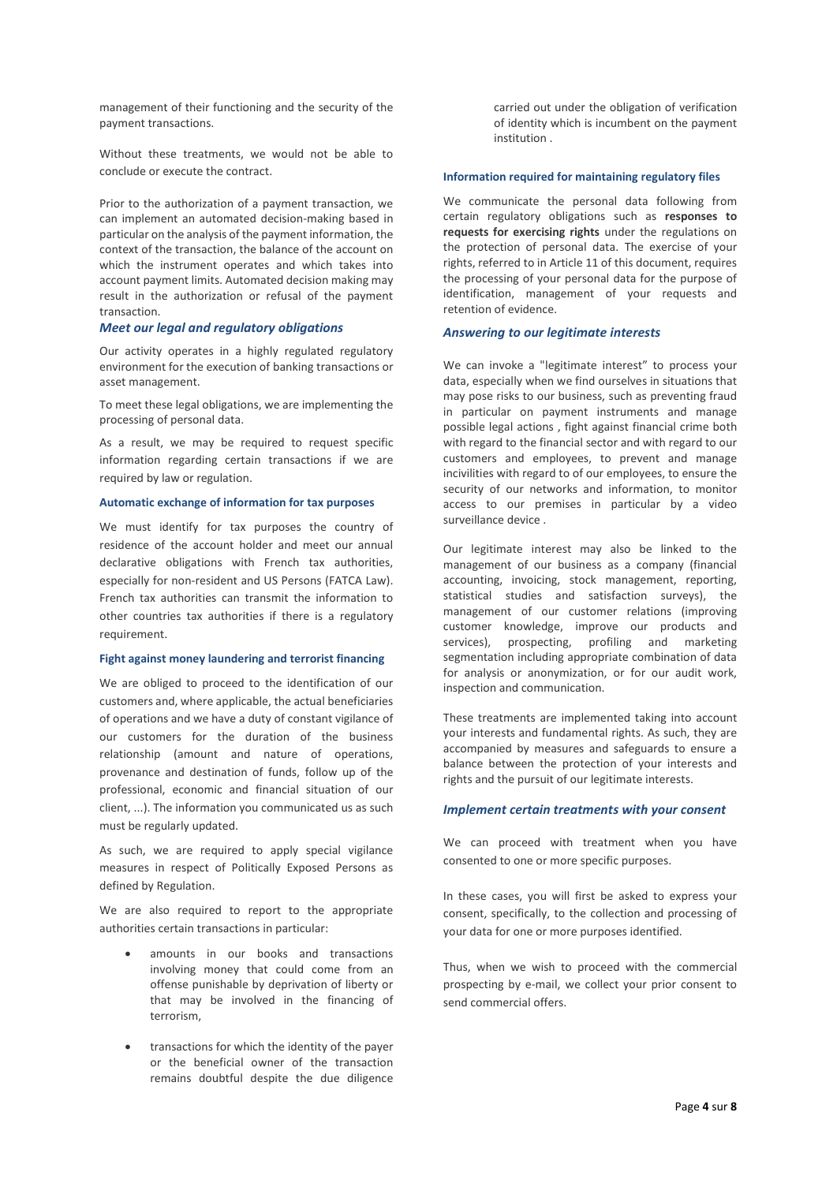management of their functioning and the security of the payment transactions.

Without these treatments, we would not be able to conclude or execute the contract.

Prior to the authorization of a payment transaction, we can implement an automated decision-making based in particular on the analysis of the payment information, the context of the transaction, the balance of the account on which the instrument operates and which takes into account payment limits. Automated decision making may result in the authorization or refusal of the payment transaction.

#### *Meet our legal and regulatory obligations*

Our activity operates in a highly regulated regulatory environment for the execution of banking transactions or asset management.

To meet these legal obligations, we are implementing the processing of personal data.

As a result, we may be required to request specific information regarding certain transactions if we are required by law or regulation.

#### **Automatic exchange of information for tax purposes**

We must identify for tax purposes the country of residence of the account holder and meet our annual declarative obligations with French tax authorities, especially for non-resident and US Persons (FATCA Law). French tax authorities can transmit the information to other countries tax authorities if there is a regulatory requirement.

#### **Fight against money laundering and terrorist financing**

We are obliged to proceed to the identification of our customers and, where applicable, the actual beneficiaries of operations and we have a duty of constant vigilance of our customers for the duration of the business relationship (amount and nature of operations, provenance and destination of funds, follow up of the professional, economic and financial situation of our client, ...). The information you communicated us as such must be regularly updated.

As such, we are required to apply special vigilance measures in respect of Politically Exposed Persons as defined by Regulation.

We are also required to report to the appropriate authorities certain transactions in particular:

- amounts in our books and transactions involving money that could come from an offense punishable by deprivation of liberty or that may be involved in the financing of terrorism,
- transactions for which the identity of the payer or the beneficial owner of the transaction remains doubtful despite the due diligence

carried out under the obligation of verification of identity which is incumbent on the payment institution .

#### **Information required for maintaining regulatory files**

We communicate the personal data following from certain regulatory obligations such as **responses to requests for exercising rights** under the regulations on the protection of personal data. The exercise of your rights, referred to in Article 11 of this document, requires the processing of your personal data for the purpose of identification, management of your requests and retention of evidence.

### *Answering to our legitimate interests*

We can invoke a "legitimate interest" to process your data, especially when we find ourselves in situations that may pose risks to our business, such as preventing fraud in particular on payment instruments and manage possible legal actions , fight against financial crime both with regard to the financial sector and with regard to our customers and employees, to prevent and manage incivilities with regard to of our employees, to ensure the security of our networks and information, to monitor access to our premises in particular by a video surveillance device .

Our legitimate interest may also be linked to the management of our business as a company (financial accounting, invoicing, stock management, reporting, statistical studies and satisfaction surveys), the management of our customer relations (improving customer knowledge, improve our products and services), prospecting, profiling and marketing segmentation including appropriate combination of data for analysis or anonymization, or for our audit work, inspection and communication.

These treatments are implemented taking into account your interests and fundamental rights. As such, they are accompanied by measures and safeguards to ensure a balance between the protection of your interests and rights and the pursuit of our legitimate interests.

#### *Implement certain treatments with your consent*

We can proceed with treatment when you have consented to one or more specific purposes.

In these cases, you will first be asked to express your consent, specifically, to the collection and processing of your data for one or more purposes identified.

Thus, when we wish to proceed with the commercial prospecting by e-mail, we collect your prior consent to send commercial offers.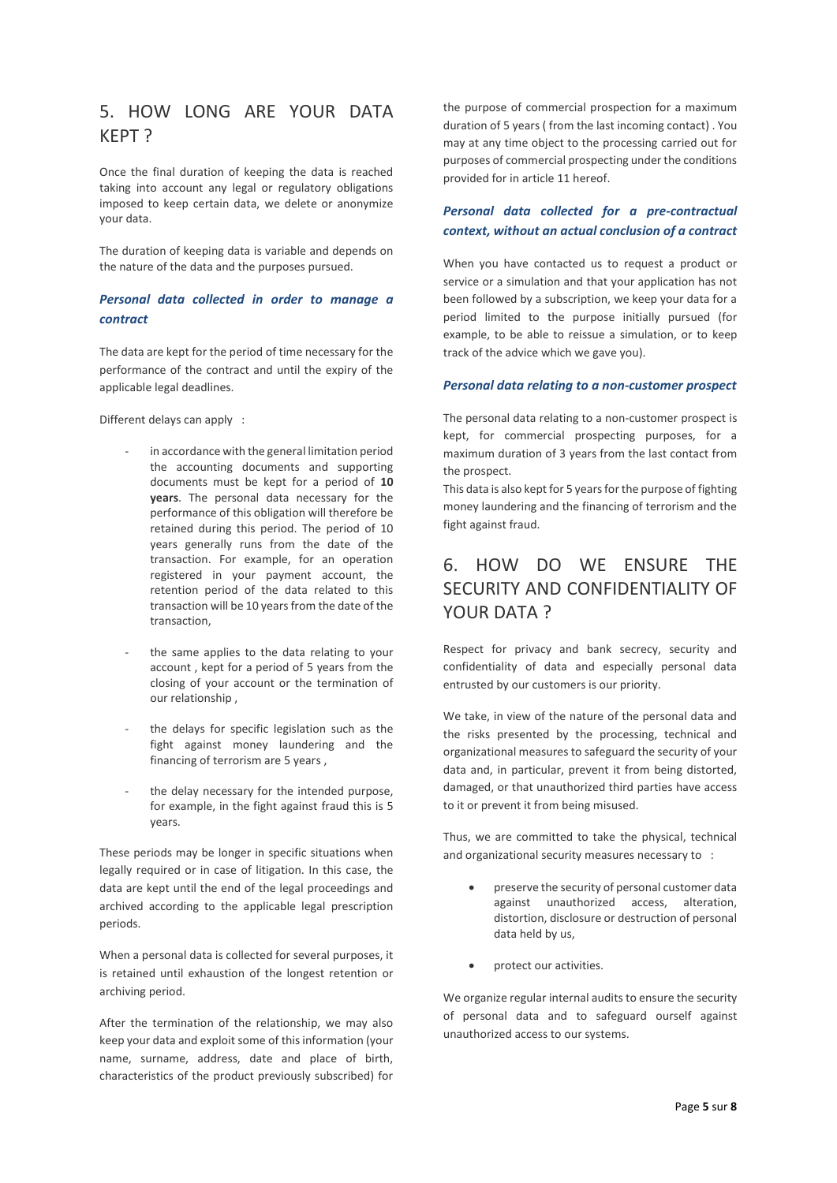## 5. HOW LONG ARE YOUR DATA KEPT ?

Once the final duration of keeping the data is reached taking into account any legal or regulatory obligations imposed to keep certain data, we delete or anonymize your data.

The duration of keeping data is variable and depends on the nature of the data and the purposes pursued.

## *Personal data collected in order to manage a contract*

The data are kept for the period of time necessary for the performance of the contract and until the expiry of the applicable legal deadlines.

Different delays can apply :

- in accordance with the general limitation period the accounting documents and supporting documents must be kept for a period of **10 years**. The personal data necessary for the performance of this obligation will therefore be retained during this period. The period of 10 years generally runs from the date of the transaction. For example, for an operation registered in your payment account, the retention period of the data related to this transaction will be 10 years from the date of the transaction,
- the same applies to the data relating to your account , kept for a period of 5 years from the closing of your account or the termination of our relationship ,
- the delays for specific legislation such as the fight against money laundering and the financing of terrorism are 5 years ,
- the delay necessary for the intended purpose, for example, in the fight against fraud this is 5 years.

These periods may be longer in specific situations when legally required or in case of litigation. In this case, the data are kept until the end of the legal proceedings and archived according to the applicable legal prescription periods.

When a personal data is collected for several purposes, it is retained until exhaustion of the longest retention or archiving period.

After the termination of the relationship, we may also keep your data and exploit some of this information (your name, surname, address, date and place of birth, characteristics of the product previously subscribed) for

the purpose of commercial prospection for a maximum duration of 5 years ( from the last incoming contact) . You may at any time object to the processing carried out for purposes of commercial prospecting under the conditions provided for in article 11 hereof.

### *Personal data collected for a pre-contractual context, without an actual conclusion of a contract*

When you have contacted us to request a product or service or a simulation and that your application has not been followed by a subscription, we keep your data for a period limited to the purpose initially pursued (for example, to be able to reissue a simulation, or to keep track of the advice which we gave you).

#### *Personal data relating to a non-customer prospect*

The personal data relating to a non-customer prospect is kept, for commercial prospecting purposes, for a maximum duration of 3 years from the last contact from the prospect.

This data is also kept for 5 years for the purpose of fighting money laundering and the financing of terrorism and the fight against fraud.

# 6. HOW DO WE ENSURE THE SECURITY AND CONFIDENTIALITY OF YOUR DATA ?

Respect for privacy and bank secrecy, security and confidentiality of data and especially personal data entrusted by our customers is our priority.

We take, in view of the nature of the personal data and the risks presented by the processing, technical and organizational measures to safeguard the security of your data and, in particular, prevent it from being distorted, damaged, or that unauthorized third parties have access to it or prevent it from being misused.

Thus, we are committed to take the physical, technical and organizational security measures necessary to :

- preserve the security of personal customer data against unauthorized access, alteration, distortion, disclosure or destruction of personal data held by us,
- protect our activities.

We organize regular internal audits to ensure the security of personal data and to safeguard ourself against unauthorized access to our systems.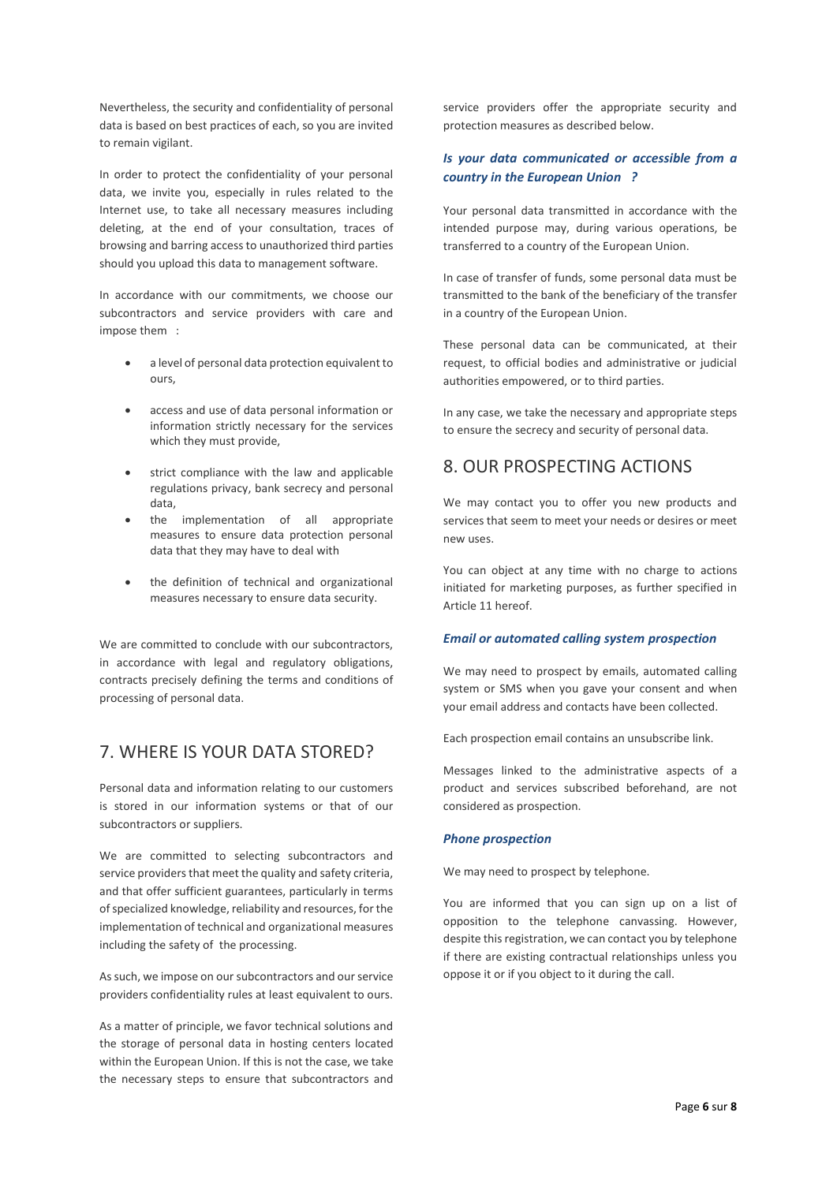Nevertheless, the security and confidentiality of personal data is based on best practices of each, so you are invited to remain vigilant.

In order to protect the confidentiality of your personal data, we invite you, especially in rules related to the Internet use, to take all necessary measures including deleting, at the end of your consultation, traces of browsing and barring access to unauthorized third parties should you upload this data to management software.

In accordance with our commitments, we choose our subcontractors and service providers with care and impose them :

- a level of personal data protection equivalent to ours,
- access and use of data personal information or information strictly necessary for the services which they must provide,
- strict compliance with the law and applicable regulations privacy, bank secrecy and personal data,
- the implementation of all appropriate measures to ensure data protection personal data that they may have to deal with
- the definition of technical and organizational measures necessary to ensure data security.

We are committed to conclude with our subcontractors, in accordance with legal and regulatory obligations, contracts precisely defining the terms and conditions of processing of personal data.

## 7. WHERE IS YOUR DATA STORED?

Personal data and information relating to our customers is stored in our information systems or that of our subcontractors or suppliers.

We are committed to selecting subcontractors and service providers that meet the quality and safety criteria, and that offer sufficient guarantees, particularly in terms of specialized knowledge, reliability and resources, for the implementation of technical and organizational measures including the safety of the processing.

As such, we impose on our subcontractors and our service providers confidentiality rules at least equivalent to ours.

As a matter of principle, we favor technical solutions and the storage of personal data in hosting centers located within the European Union. If this is not the case, we take the necessary steps to ensure that subcontractors and service providers offer the appropriate security and protection measures as described below.

## *Is your data communicated or accessible from a country in the European Union ?*

Your personal data transmitted in accordance with the intended purpose may, during various operations, be transferred to a country of the European Union.

In case of transfer of funds, some personal data must be transmitted to the bank of the beneficiary of the transfer in a country of the European Union.

These personal data can be communicated, at their request, to official bodies and administrative or judicial authorities empowered, or to third parties.

In any case, we take the necessary and appropriate steps to ensure the secrecy and security of personal data.

## 8. OUR PROSPECTING ACTIONS

We may contact you to offer you new products and services that seem to meet your needs or desires or meet new uses.

You can object at any time with no charge to actions initiated for marketing purposes, as further specified in Article 11 hereof.

### *Email or automated calling system prospection*

We may need to prospect by emails, automated calling system or SMS when you gave your consent and when your email address and contacts have been collected.

Each prospection email contains an unsubscribe link.

Messages linked to the administrative aspects of a product and services subscribed beforehand, are not considered as prospection.

#### *Phone prospection*

We may need to prospect by telephone.

You are informed that you can sign up on a list of opposition to the telephone canvassing. However, despite this registration, we can contact you by telephone if there are existing contractual relationships unless you oppose it or if you object to it during the call.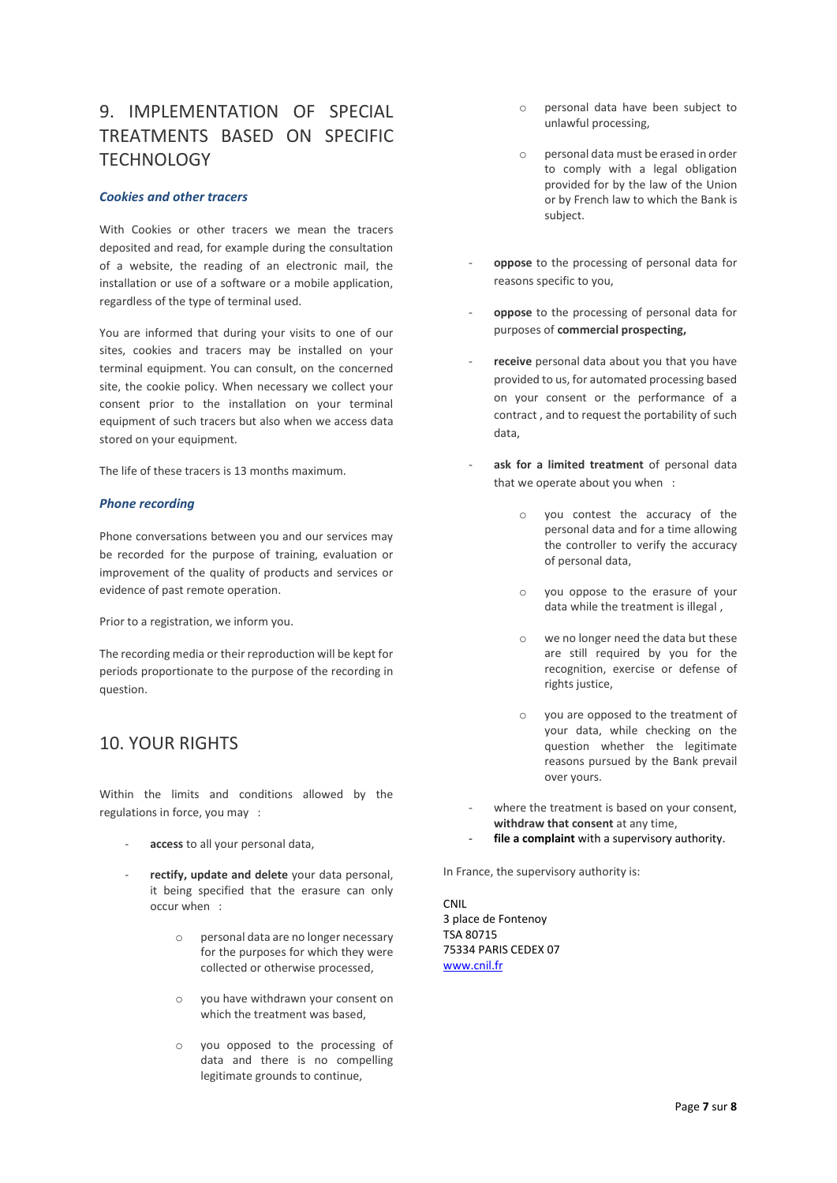# 9. IMPLEMENTATION OF SPECIAL TREATMENTS BASED ON SPECIFIC **TECHNOLOGY**

### *Cookies and other tracers*

With Cookies or other tracers we mean the tracers deposited and read, for example during the consultation of a website, the reading of an electronic mail, the installation or use of a software or a mobile application, regardless of the type of terminal used.

You are informed that during your visits to one of our sites, cookies and tracers may be installed on your terminal equipment. You can consult, on the concerned site, the cookie policy. When necessary we collect your consent prior to the installation on your terminal equipment of such tracers but also when we access data stored on your equipment.

The life of these tracers is 13 months maximum.

#### *Phone recording*

Phone conversations between you and our services may be recorded for the purpose of training, evaluation or improvement of the quality of products and services or evidence of past remote operation.

Prior to a registration, we inform you.

The recording media or their reproduction will be kept for periods proportionate to the purpose of the recording in question.

## 10. YOUR RIGHTS

Within the limits and conditions allowed by the regulations in force, you may :

- access to all your personal data.
- rectify, update and delete your data personal, it being specified that the erasure can only occur when :
	- o personal data are no longer necessary for the purposes for which they were collected or otherwise processed,
	- o you have withdrawn your consent on which the treatment was based,
	- o you opposed to the processing of data and there is no compelling legitimate grounds to continue,
- o personal data have been subject to unlawful processing,
- o personal data must be erased in order to comply with a legal obligation provided for by the law of the Union or by French law to which the Bank is subject.
- oppose to the processing of personal data for reasons specific to you,
- **oppose** to the processing of personal data for purposes of **commercial prospecting,**
- receive personal data about you that you have provided to us, for automated processing based on your consent or the performance of a contract , and to request the portability of such data,
- ask for a limited treatment of personal data that we operate about you when :
	- o you contest the accuracy of the personal data and for a time allowing the controller to verify the accuracy of personal data,
	- you oppose to the erasure of your data while the treatment is illegal ,
	- o we no longer need the data but these are still required by you for the recognition, exercise or defense of rights justice,
	- o you are opposed to the treatment of your data, while checking on the question whether the legitimate reasons pursued by the Bank prevail over yours.
- where the treatment is based on your consent, **withdraw that consent** at any time,
- file a complaint with a supervisory authority.

In France, the supervisory authority is:

CNIL 3 place de Fontenoy TSA 80715 75334 PARIS CEDEX 07 [www.cnil.fr](http://www.cnil.fr/)